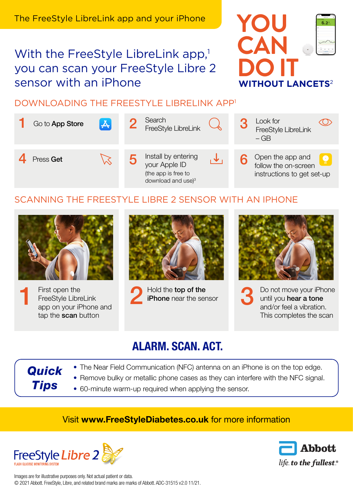# With the FreeStyle LibreLink app,<sup>1</sup> you can scan your FreeStyle Libre 2 **sensor with an iPhone**



### DOWNI OADING THE FREESTYLE LIBRELINK APP<sup>1</sup>



### SCANNING THE FREESTYLE LIBRE 2 SENSOR WITH AN IPHONE



First open the FreeStyle LibreLink app on your iPhone and tap the scan button 1

*Quick* 

*Tips*



Hold the **top of the**<br>**iPhone** near the sensor



Do not move your iPhone until you hear a tone and/or feel a vibration. This completes the scan 3

## ALARM. SCAN. ACT.

- The Near Field Communication (NFC) antenna on an iPhone is on the top edge.
- Remove bulky or metallic phone cases as they can interfere with the NFC signal.
- 60-minute warm-up required when applying the sensor.

### Visit www.FreeStyleDiabetes.co.uk for more information





Images are for illustrative purposes only. Not actual patient or data. © 2021 Abbott. FreeStyle, Libre, and related brand marks are marks of Abbott. ADC-31515 v2.0 11/21.